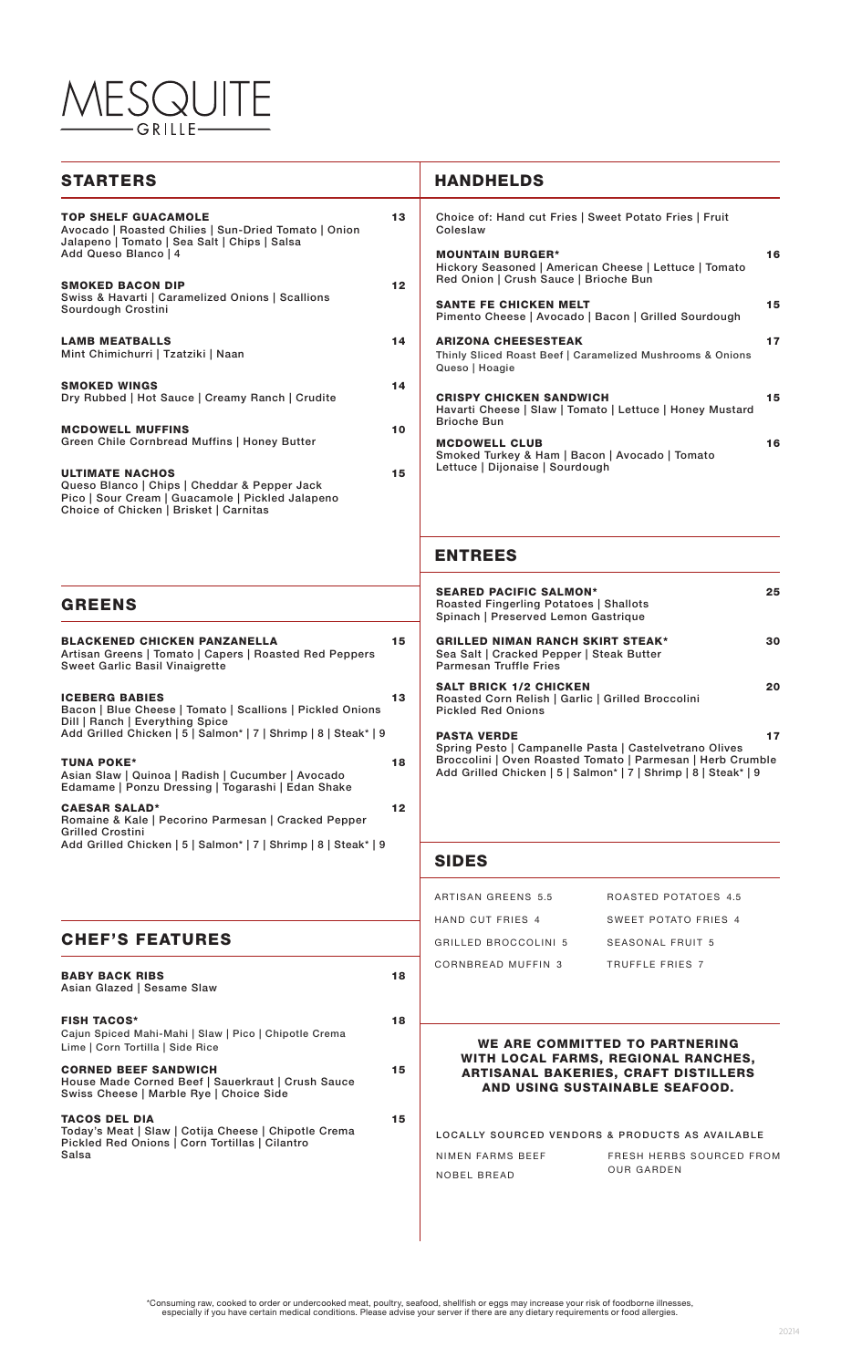# SQUITE GRILLE-

| <b>STARTERS</b>                                                                                                                                                                                                                                                                                                                                                                                                                                                                                                                                                                                                                                             |                                  | <b>HANDHELDS</b>                                                                                                                                                                                                                                                                                                                                                                                                                                                                                                                                                                                                                                                    |
|-------------------------------------------------------------------------------------------------------------------------------------------------------------------------------------------------------------------------------------------------------------------------------------------------------------------------------------------------------------------------------------------------------------------------------------------------------------------------------------------------------------------------------------------------------------------------------------------------------------------------------------------------------------|----------------------------------|---------------------------------------------------------------------------------------------------------------------------------------------------------------------------------------------------------------------------------------------------------------------------------------------------------------------------------------------------------------------------------------------------------------------------------------------------------------------------------------------------------------------------------------------------------------------------------------------------------------------------------------------------------------------|
| <b>TOP SHELF GUACAMOLE</b><br>Avocado   Roasted Chilies   Sun-Dried Tomato   Onion<br>Jalapeno   Tomato   Sea Salt   Chips   Salsa<br>Add Queso Blanco   4<br><b>SMOKED BACON DIP</b><br>Swiss & Havarti   Caramelized Onions   Scallions<br>Sourdough Crostini<br><b>LAMB MEATBALLS</b><br>Mint Chimichurri   Tzatziki   Naan<br><b>SMOKED WINGS</b><br>Dry Rubbed   Hot Sauce   Creamy Ranch   Crudite<br><b>MCDOWELL MUFFINS</b><br>Green Chile Cornbread Muffins   Honey Butter<br><b>ULTIMATE NACHOS</b><br>Queso Blanco   Chips   Cheddar & Pepper Jack<br>Pico   Sour Cream   Guacamole   Pickled Jalapeno<br>Choice of Chicken   Brisket   Carnitas | 13<br>12<br>14<br>14<br>10<br>15 | Choice of: Hand cut Fries   Sweet Potato Fries   Fruit<br>Coleslaw<br>16<br><b>MOUNTAIN BURGER*</b><br>Hickory Seasoned   American Cheese   Lettuce   Tomato<br>Red Onion   Crush Sauce   Brioche Bun<br>15<br><b>SANTE FE CHICKEN MELT</b><br>Pimento Cheese   Avocado   Bacon   Grilled Sourdough<br><b>ARIZONA CHEESESTEAK</b><br>17<br>Thinly Sliced Roast Beef   Caramelized Mushrooms & Onions<br>Queso   Hoagie<br>15<br><b>CRISPY CHICKEN SANDWICH</b><br>Havarti Cheese   Slaw   Tomato   Lettuce   Honey Mustard<br><b>Brioche Bun</b><br>16<br><b>MCDOWELL CLUB</b><br>Smoked Turkey & Ham   Bacon   Avocado   Tomato<br>Lettuce   Dijonaise   Sourdough |
|                                                                                                                                                                                                                                                                                                                                                                                                                                                                                                                                                                                                                                                             |                                  | <b>ENTREES</b>                                                                                                                                                                                                                                                                                                                                                                                                                                                                                                                                                                                                                                                      |
| <b>GREENS</b>                                                                                                                                                                                                                                                                                                                                                                                                                                                                                                                                                                                                                                               |                                  | <b>SEARED PACIFIC SALMON*</b><br>25<br>Roasted Fingerling Potatoes   Shallots<br>Spinach   Preserved Lemon Gastrique                                                                                                                                                                                                                                                                                                                                                                                                                                                                                                                                                |
| <b>BLACKENED CHICKEN PANZANELLA</b><br>Artisan Greens   Tomato   Capers   Roasted Red Peppers<br><b>Sweet Garlic Basil Vinaigrette</b>                                                                                                                                                                                                                                                                                                                                                                                                                                                                                                                      | 15                               | <b>GRILLED NIMAN RANCH SKIRT STEAK*</b><br>30<br>Sea Salt   Cracked Pepper   Steak Butter<br><b>Parmesan Truffle Fries</b>                                                                                                                                                                                                                                                                                                                                                                                                                                                                                                                                          |
| <b>ICEBERG BABIES</b><br>Bacon   Blue Cheese   Tomato   Scallions   Pickled Onions<br>Dill   Ranch   Everything Spice<br>Add Grilled Chicken   5   Salmon*   7   Shrimp   8   Steak*   9                                                                                                                                                                                                                                                                                                                                                                                                                                                                    | 13                               | <b>SALT BRICK 1/2 CHICKEN</b><br>20<br>Roasted Corn Relish   Garlic   Grilled Broccolini<br><b>Pickled Red Onions</b><br>17<br><b>PASTA VERDE</b>                                                                                                                                                                                                                                                                                                                                                                                                                                                                                                                   |
| <b>TUNA POKE*</b><br>Asian Slaw   Quinoa   Radish   Cucumber   Avocado<br>Edamame   Ponzu Dressing   Togarashi   Edan Shake                                                                                                                                                                                                                                                                                                                                                                                                                                                                                                                                 | 18                               | Spring Pesto   Campanelle Pasta   Castelvetrano Olives<br>Broccolini   Oven Roasted Tomato   Parmesan   Herb Crumble<br>Add Grilled Chicken   5   Salmon*   7   Shrimp   8   Steak*   9                                                                                                                                                                                                                                                                                                                                                                                                                                                                             |
| <b>CAESAR SALAD*</b><br>Romaine & Kale   Pecorino Parmesan   Cracked Pepper<br><b>Grilled Crostini</b>                                                                                                                                                                                                                                                                                                                                                                                                                                                                                                                                                      | 12                               |                                                                                                                                                                                                                                                                                                                                                                                                                                                                                                                                                                                                                                                                     |
| Add Grilled Chicken   5   Salmon*   7   Shrimp   8   Steak*   9                                                                                                                                                                                                                                                                                                                                                                                                                                                                                                                                                                                             |                                  | <b>SIDES</b>                                                                                                                                                                                                                                                                                                                                                                                                                                                                                                                                                                                                                                                        |
|                                                                                                                                                                                                                                                                                                                                                                                                                                                                                                                                                                                                                                                             |                                  | ARTISAN GREENS 5.5<br>ROASTED POTATOES 4.5                                                                                                                                                                                                                                                                                                                                                                                                                                                                                                                                                                                                                          |
|                                                                                                                                                                                                                                                                                                                                                                                                                                                                                                                                                                                                                                                             |                                  | HAND CUT FRIES 4<br>SWEET POTATO FRIES 4                                                                                                                                                                                                                                                                                                                                                                                                                                                                                                                                                                                                                            |
| <b>CHEF'S FEATURES</b>                                                                                                                                                                                                                                                                                                                                                                                                                                                                                                                                                                                                                                      |                                  | <b>GRILLED BROCCOLINI 5</b><br>SEASONAL FRUIT 5                                                                                                                                                                                                                                                                                                                                                                                                                                                                                                                                                                                                                     |
|                                                                                                                                                                                                                                                                                                                                                                                                                                                                                                                                                                                                                                                             |                                  | <b>CORNBREAD MUFFIN 3</b><br>TRUFFLE FRIES 7                                                                                                                                                                                                                                                                                                                                                                                                                                                                                                                                                                                                                        |

BABY BACK RIBS 18 Asian Glazed | Sesame Slaw FISH TACOS\* 18 Cajun Spiced Mahi-Mahi | Slaw | Pico | Chipotle Crema Lime | Corn Tortilla | Side Rice CORNED BEEF SANDWICH 15 House Made Corned Beef | Sauerkraut | Crush Sauce Swiss Cheese | Marble Rye | Choice Side TACOS DEL DIA 15 Today's Meat | Slaw | Cotija Cheese | Chipotle Crema Pickled Red Onions | Corn Tortillas | Cilantro Salsa

#### WE ARE COMMITTED TO PARTNERING WITH LOCAL FARMS, REGIONAL RANCHES, ARTISANAL BAKERIES, CRAFT DISTILLERS AND USING SUSTAINABLE SEAFOOD.

LOCALLY SOURCED VENDORS & PRODUCTS AS AVAILABLE NIMEN FARMS BEEF

NOBEL BREAD

FRESH HERBS SOURCED FROM OUR GARDEN